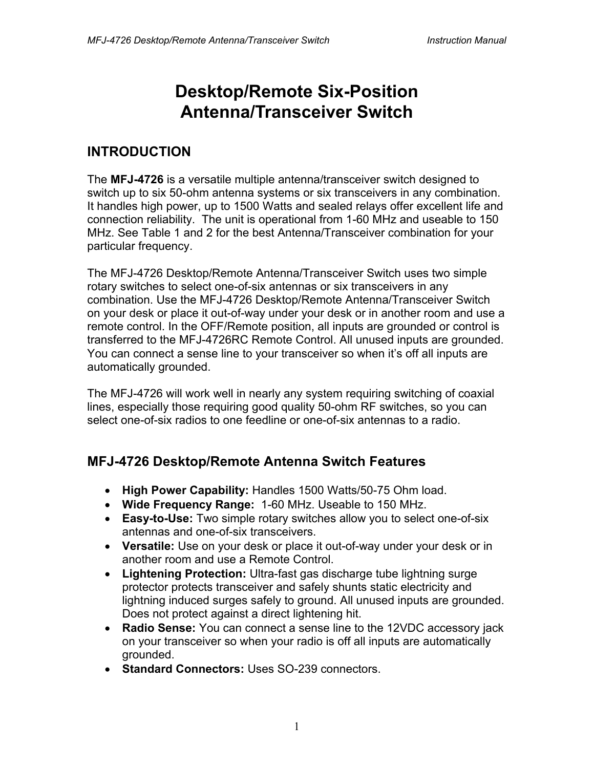# **Desktop/Remote Six-Position Antenna/Transceiver Switch**

### **INTRODUCTION**

The **MFJ-4726** is a versatile multiple antenna/transceiver switch designed to switch up to six 50-ohm antenna systems or six transceivers in any combination. It handles high power, up to 1500 Watts and sealed relays offer excellent life and connection reliability. The unit is operational from 1-60 MHz and useable to 150 MHz. See Table 1 and 2 for the best Antenna/Transceiver combination for your particular frequency.

The MFJ-4726 Desktop/Remote Antenna/Transceiver Switch uses two simple rotary switches to select one-of-six antennas or six transceivers in any combination. Use the MFJ-4726 Desktop/Remote Antenna/Transceiver Switch on your desk or place it out-of-way under your desk or in another room and use a remote control. In the OFF/Remote position, all inputs are grounded or control is transferred to the MFJ-4726RC Remote Control. All unused inputs are grounded. You can connect a sense line to your transceiver so when it's off all inputs are automatically grounded.

The MFJ-4726 will work well in nearly any system requiring switching of coaxial lines, especially those requiring good quality 50-ohm RF switches, so you can select one-of-six radios to one feedline or one-of-six antennas to a radio.

#### **MFJ-4726 Desktop/Remote Antenna Switch Features**

- **High Power Capability:** Handles 1500 Watts/50-75 Ohm load.
- **Wide Frequency Range:** 1-60 MHz. Useable to 150 MHz.
- **Easy-to-Use:** Two simple rotary switches allow you to select one-of-six antennas and one-of-six transceivers.
- **Versatile:** Use on your desk or place it out-of-way under your desk or in another room and use a Remote Control.
- **Lightening Protection:** Ultra-fast gas discharge tube lightning surge protector protects transceiver and safely shunts static electricity and lightning induced surges safely to ground. All unused inputs are grounded. Does not protect against a direct lightening hit.
- **Radio Sense:** You can connect a sense line to the 12VDC accessory jack on your transceiver so when your radio is off all inputs are automatically grounded.
- **Standard Connectors:** Uses SO-239 connectors.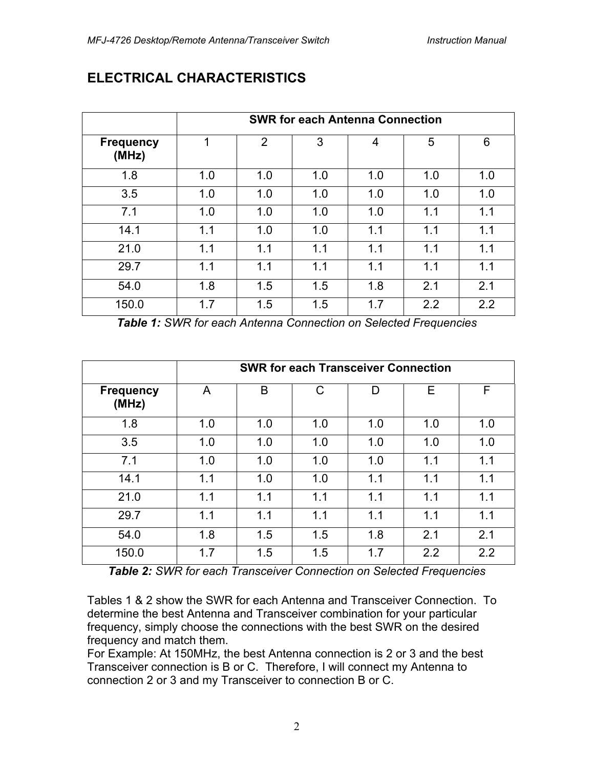|                           | <b>SWR for each Antenna Connection</b> |     |     |     |     |     |  |  |
|---------------------------|----------------------------------------|-----|-----|-----|-----|-----|--|--|
| <b>Frequency</b><br>(MHz) | 1                                      | 2   | 3   | 4   | 5   | 6   |  |  |
| 1.8                       | 1.0                                    | 1.0 | 1.0 | 1.0 | 1.0 | 1.0 |  |  |
| 3.5                       | 1.0                                    | 1.0 | 1.0 | 1.0 | 1.0 | 1.0 |  |  |
| 7.1                       | 1.0                                    | 1.0 | 1.0 | 1.0 | 1.1 | 1.1 |  |  |
| 14.1                      | 1.1                                    | 1.0 | 1.0 | 1.1 | 1.1 | 1.1 |  |  |
| 21.0                      | 1.1                                    | 1.1 | 1.1 | 1.1 | 1.1 | 1.1 |  |  |
| 29.7                      | 1.1                                    | 1.1 | 1.1 | 1.1 | 1.1 | 1.1 |  |  |
| 54.0                      | 1.8                                    | 1.5 | 1.5 | 1.8 | 2.1 | 2.1 |  |  |
| 150.0                     | 1.7                                    | 1.5 | 1.5 | 1.7 | 2.2 | 2.2 |  |  |

#### **ELECTRICAL CHARACTERISTICS**

*Table 1: SWR for each Antenna Connection on Selected Frequencies*

|                           | <b>SWR for each Transceiver Connection</b> |     |     |     |     |     |  |  |
|---------------------------|--------------------------------------------|-----|-----|-----|-----|-----|--|--|
| <b>Frequency</b><br>(MHz) | A                                          | B   |     | D   | Е   | F   |  |  |
| 1.8                       | 1.0                                        | 1.0 | 1.0 | 1.0 | 1.0 | 1.0 |  |  |
| 3.5                       | 1.0                                        | 1.0 | 1.0 | 1.0 | 1.0 | 1.0 |  |  |
| 7.1                       | 1.0                                        | 1.0 | 1.0 | 1.0 | 1.1 | 1.1 |  |  |
| 14.1                      | 1.1                                        | 1.0 | 1.0 | 1.1 | 1.1 | 1.1 |  |  |
| 21.0                      | 1.1                                        | 1.1 | 1.1 | 1.1 | 1.1 | 1.1 |  |  |
| 29.7                      | 1.1                                        | 1.1 | 1.1 | 1.1 | 1.1 | 1.1 |  |  |
| 54.0                      | 1.8                                        | 1.5 | 1.5 | 1.8 | 2.1 | 2.1 |  |  |
| 150.0                     | 1.7                                        | 1.5 | 1.5 | 1.7 | 2.2 | 2.2 |  |  |

*Table 2: SWR for each Transceiver Connection on Selected Frequencies*

Tables 1 & 2 show the SWR for each Antenna and Transceiver Connection. To determine the best Antenna and Transceiver combination for your particular frequency, simply choose the connections with the best SWR on the desired frequency and match them.

For Example: At 150MHz, the best Antenna connection is 2 or 3 and the best Transceiver connection is B or C. Therefore, I will connect my Antenna to connection 2 or 3 and my Transceiver to connection B or C.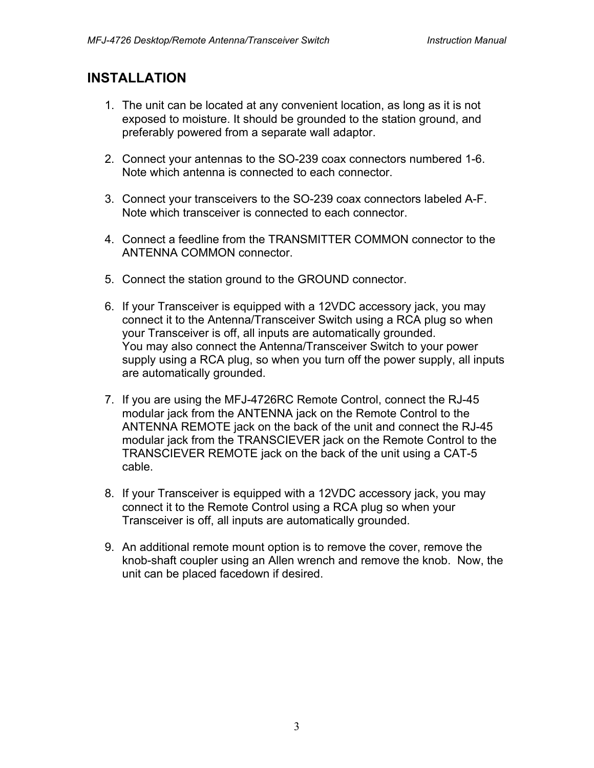#### **INSTALLATION**

- 1. The unit can be located at any convenient location, as long as it is not exposed to moisture. It should be grounded to the station ground, and preferably powered from a separate wall adaptor.
- 2. Connect your antennas to the SO-239 coax connectors numbered 1-6. Note which antenna is connected to each connector.
- 3. Connect your transceivers to the SO-239 coax connectors labeled A-F. Note which transceiver is connected to each connector.
- 4. Connect a feedline from the TRANSMITTER COMMON connector to the ANTENNA COMMON connector.
- 5. Connect the station ground to the GROUND connector.
- 6. If your Transceiver is equipped with a 12VDC accessory jack, you may connect it to the Antenna/Transceiver Switch using a RCA plug so when your Transceiver is off, all inputs are automatically grounded. You may also connect the Antenna/Transceiver Switch to your power supply using a RCA plug, so when you turn off the power supply, all inputs are automatically grounded.
- 7. If you are using the MFJ-4726RC Remote Control, connect the RJ-45 modular jack from the ANTENNA jack on the Remote Control to the ANTENNA REMOTE jack on the back of the unit and connect the RJ-45 modular jack from the TRANSCIEVER jack on the Remote Control to the TRANSCIEVER REMOTE jack on the back of the unit using a CAT-5 cable.
- 8. If your Transceiver is equipped with a 12VDC accessory jack, you may connect it to the Remote Control using a RCA plug so when your Transceiver is off, all inputs are automatically grounded.
- 9. An additional remote mount option is to remove the cover, remove the knob-shaft coupler using an Allen wrench and remove the knob. Now, the unit can be placed facedown if desired.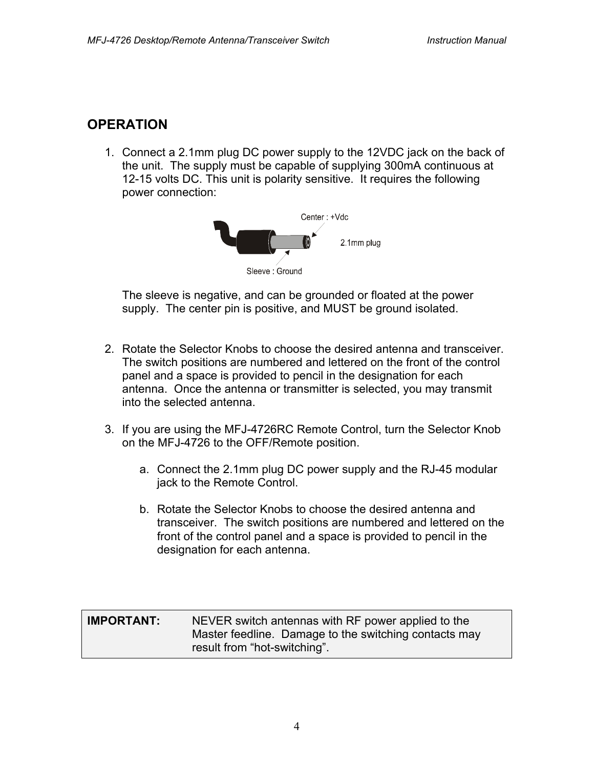## **OPERATION**

1. Connect a 2.1mm plug DC power supply to the 12VDC jack on the back of the unit. The supply must be capable of supplying 300mA continuous at 12-15 volts DC. This unit is polarity sensitive. It requires the following power connection:



The sleeve is negative, and can be grounded or floated at the power supply. The center pin is positive, and MUST be ground isolated.

- 2. Rotate the Selector Knobs to choose the desired antenna and transceiver. The switch positions are numbered and lettered on the front of the control panel and a space is provided to pencil in the designation for each antenna. Once the antenna or transmitter is selected, you may transmit into the selected antenna.
- 3. If you are using the MFJ-4726RC Remote Control, turn the Selector Knob on the MFJ-4726 to the OFF/Remote position.
	- a. Connect the 2.1mm plug DC power supply and the RJ-45 modular jack to the Remote Control.
	- b. Rotate the Selector Knobs to choose the desired antenna and transceiver. The switch positions are numbered and lettered on the front of the control panel and a space is provided to pencil in the designation for each antenna.

#### **IMPORTANT:** NEVER switch antennas with RF power applied to the Master feedline. Damage to the switching contacts may result from "hot-switching".